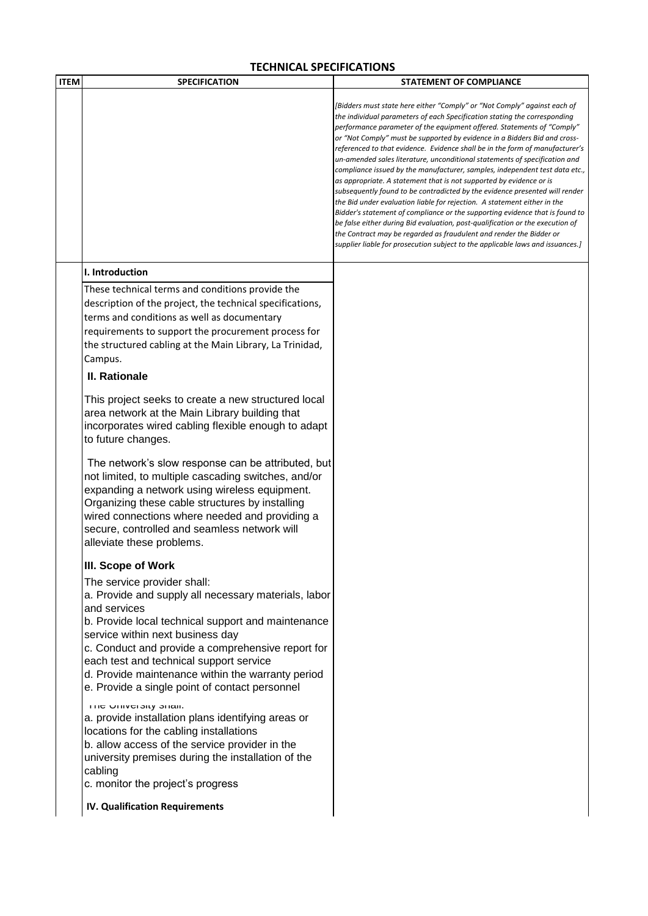## **TECHNICAL SPECIFICATIONS**

| <b>ITEM</b> | <b>SPECIFICATION</b>                                                                                                                                                                                                                                                                                                                         | <b>STATEMENT OF COMPLIANCE</b>                                                                                                                                                                                                                                                                                                                                                                                                                                                                                                                                                                                                                                                                                                                                                                                                                                                                                                                                                                                                                                                                                        |
|-------------|----------------------------------------------------------------------------------------------------------------------------------------------------------------------------------------------------------------------------------------------------------------------------------------------------------------------------------------------|-----------------------------------------------------------------------------------------------------------------------------------------------------------------------------------------------------------------------------------------------------------------------------------------------------------------------------------------------------------------------------------------------------------------------------------------------------------------------------------------------------------------------------------------------------------------------------------------------------------------------------------------------------------------------------------------------------------------------------------------------------------------------------------------------------------------------------------------------------------------------------------------------------------------------------------------------------------------------------------------------------------------------------------------------------------------------------------------------------------------------|
|             |                                                                                                                                                                                                                                                                                                                                              | [Bidders must state here either "Comply" or "Not Comply" against each of<br>the individual parameters of each Specification stating the corresponding<br>performance parameter of the equipment offered. Statements of "Comply"<br>or "Not Comply" must be supported by evidence in a Bidders Bid and cross-<br>referenced to that evidence. Evidence shall be in the form of manufacturer's<br>un-amended sales literature, unconditional statements of specification and<br>compliance issued by the manufacturer, samples, independent test data etc.,<br>as appropriate. A statement that is not supported by evidence or is<br>subsequently found to be contradicted by the evidence presented will render<br>the Bid under evaluation liable for rejection. A statement either in the<br>Bidder's statement of compliance or the supporting evidence that is found to<br>be false either during Bid evaluation, post-qualification or the execution of<br>the Contract may be regarded as fraudulent and render the Bidder or<br>supplier liable for prosecution subject to the applicable laws and issuances.] |
|             | I. Introduction                                                                                                                                                                                                                                                                                                                              |                                                                                                                                                                                                                                                                                                                                                                                                                                                                                                                                                                                                                                                                                                                                                                                                                                                                                                                                                                                                                                                                                                                       |
|             | These technical terms and conditions provide the<br>description of the project, the technical specifications,<br>terms and conditions as well as documentary<br>requirements to support the procurement process for<br>the structured cabling at the Main Library, La Trinidad,<br>Campus.                                                   |                                                                                                                                                                                                                                                                                                                                                                                                                                                                                                                                                                                                                                                                                                                                                                                                                                                                                                                                                                                                                                                                                                                       |
|             | <b>II. Rationale</b>                                                                                                                                                                                                                                                                                                                         |                                                                                                                                                                                                                                                                                                                                                                                                                                                                                                                                                                                                                                                                                                                                                                                                                                                                                                                                                                                                                                                                                                                       |
|             | This project seeks to create a new structured local<br>area network at the Main Library building that<br>incorporates wired cabling flexible enough to adapt<br>to future changes.                                                                                                                                                           |                                                                                                                                                                                                                                                                                                                                                                                                                                                                                                                                                                                                                                                                                                                                                                                                                                                                                                                                                                                                                                                                                                                       |
|             | The network's slow response can be attributed, but<br>not limited, to multiple cascading switches, and/or<br>expanding a network using wireless equipment.<br>Organizing these cable structures by installing<br>wired connections where needed and providing a<br>secure, controlled and seamless network will<br>alleviate these problems. |                                                                                                                                                                                                                                                                                                                                                                                                                                                                                                                                                                                                                                                                                                                                                                                                                                                                                                                                                                                                                                                                                                                       |
|             | III. Scope of Work                                                                                                                                                                                                                                                                                                                           |                                                                                                                                                                                                                                                                                                                                                                                                                                                                                                                                                                                                                                                                                                                                                                                                                                                                                                                                                                                                                                                                                                                       |
|             | The service provider shall:<br>a. Provide and supply all necessary materials, labor<br>and services<br>b. Provide local technical support and maintenance<br>service within next business day<br>c. Conduct and provide a comprehensive report for                                                                                           |                                                                                                                                                                                                                                                                                                                                                                                                                                                                                                                                                                                                                                                                                                                                                                                                                                                                                                                                                                                                                                                                                                                       |
|             | each test and technical support service<br>d. Provide maintenance within the warranty period<br>e. Provide a single point of contact personnel                                                                                                                                                                                               |                                                                                                                                                                                                                                                                                                                                                                                                                                                                                                                                                                                                                                                                                                                                                                                                                                                                                                                                                                                                                                                                                                                       |
|             | <b>THE UNIVERSITY STIGHT</b><br>a. provide installation plans identifying areas or<br>locations for the cabling installations<br>b. allow access of the service provider in the<br>university premises during the installation of the<br>cabling                                                                                             |                                                                                                                                                                                                                                                                                                                                                                                                                                                                                                                                                                                                                                                                                                                                                                                                                                                                                                                                                                                                                                                                                                                       |
|             | c. monitor the project's progress<br><b>IV. Qualification Requirements</b>                                                                                                                                                                                                                                                                   |                                                                                                                                                                                                                                                                                                                                                                                                                                                                                                                                                                                                                                                                                                                                                                                                                                                                                                                                                                                                                                                                                                                       |
|             |                                                                                                                                                                                                                                                                                                                                              |                                                                                                                                                                                                                                                                                                                                                                                                                                                                                                                                                                                                                                                                                                                                                                                                                                                                                                                                                                                                                                                                                                                       |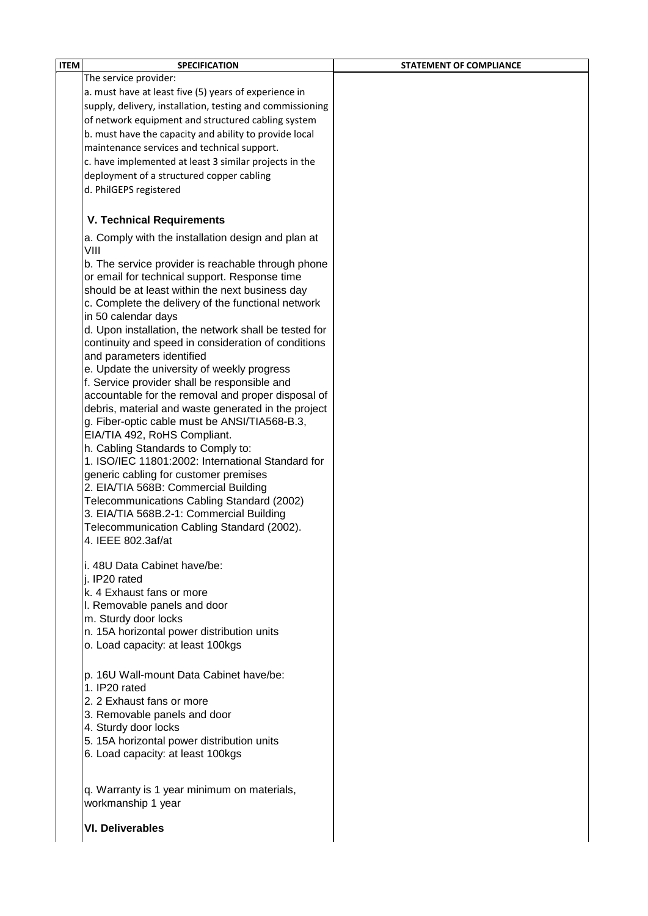| The service provider:<br>a. must have at least five (5) years of experience in<br>supply, delivery, installation, testing and commissioning<br>of network equipment and structured cabling system<br>b. must have the capacity and ability to provide local<br>maintenance services and technical support.<br>c. have implemented at least 3 similar projects in the<br>deployment of a structured copper cabling<br>d. PhilGEPS registered<br><b>V. Technical Requirements</b><br>a. Comply with the installation design and plan at<br>VIII<br>b. The service provider is reachable through phone<br>or email for technical support. Response time<br>should be at least within the next business day<br>c. Complete the delivery of the functional network<br>in 50 calendar days<br>d. Upon installation, the network shall be tested for<br>continuity and speed in consideration of conditions<br>and parameters identified<br>e. Update the university of weekly progress |  |
|----------------------------------------------------------------------------------------------------------------------------------------------------------------------------------------------------------------------------------------------------------------------------------------------------------------------------------------------------------------------------------------------------------------------------------------------------------------------------------------------------------------------------------------------------------------------------------------------------------------------------------------------------------------------------------------------------------------------------------------------------------------------------------------------------------------------------------------------------------------------------------------------------------------------------------------------------------------------------------|--|
|                                                                                                                                                                                                                                                                                                                                                                                                                                                                                                                                                                                                                                                                                                                                                                                                                                                                                                                                                                                  |  |
|                                                                                                                                                                                                                                                                                                                                                                                                                                                                                                                                                                                                                                                                                                                                                                                                                                                                                                                                                                                  |  |
|                                                                                                                                                                                                                                                                                                                                                                                                                                                                                                                                                                                                                                                                                                                                                                                                                                                                                                                                                                                  |  |
|                                                                                                                                                                                                                                                                                                                                                                                                                                                                                                                                                                                                                                                                                                                                                                                                                                                                                                                                                                                  |  |
|                                                                                                                                                                                                                                                                                                                                                                                                                                                                                                                                                                                                                                                                                                                                                                                                                                                                                                                                                                                  |  |
|                                                                                                                                                                                                                                                                                                                                                                                                                                                                                                                                                                                                                                                                                                                                                                                                                                                                                                                                                                                  |  |
|                                                                                                                                                                                                                                                                                                                                                                                                                                                                                                                                                                                                                                                                                                                                                                                                                                                                                                                                                                                  |  |
|                                                                                                                                                                                                                                                                                                                                                                                                                                                                                                                                                                                                                                                                                                                                                                                                                                                                                                                                                                                  |  |
|                                                                                                                                                                                                                                                                                                                                                                                                                                                                                                                                                                                                                                                                                                                                                                                                                                                                                                                                                                                  |  |
|                                                                                                                                                                                                                                                                                                                                                                                                                                                                                                                                                                                                                                                                                                                                                                                                                                                                                                                                                                                  |  |
|                                                                                                                                                                                                                                                                                                                                                                                                                                                                                                                                                                                                                                                                                                                                                                                                                                                                                                                                                                                  |  |
|                                                                                                                                                                                                                                                                                                                                                                                                                                                                                                                                                                                                                                                                                                                                                                                                                                                                                                                                                                                  |  |
|                                                                                                                                                                                                                                                                                                                                                                                                                                                                                                                                                                                                                                                                                                                                                                                                                                                                                                                                                                                  |  |
|                                                                                                                                                                                                                                                                                                                                                                                                                                                                                                                                                                                                                                                                                                                                                                                                                                                                                                                                                                                  |  |
|                                                                                                                                                                                                                                                                                                                                                                                                                                                                                                                                                                                                                                                                                                                                                                                                                                                                                                                                                                                  |  |
|                                                                                                                                                                                                                                                                                                                                                                                                                                                                                                                                                                                                                                                                                                                                                                                                                                                                                                                                                                                  |  |
|                                                                                                                                                                                                                                                                                                                                                                                                                                                                                                                                                                                                                                                                                                                                                                                                                                                                                                                                                                                  |  |
|                                                                                                                                                                                                                                                                                                                                                                                                                                                                                                                                                                                                                                                                                                                                                                                                                                                                                                                                                                                  |  |
|                                                                                                                                                                                                                                                                                                                                                                                                                                                                                                                                                                                                                                                                                                                                                                                                                                                                                                                                                                                  |  |
|                                                                                                                                                                                                                                                                                                                                                                                                                                                                                                                                                                                                                                                                                                                                                                                                                                                                                                                                                                                  |  |
|                                                                                                                                                                                                                                                                                                                                                                                                                                                                                                                                                                                                                                                                                                                                                                                                                                                                                                                                                                                  |  |
| f. Service provider shall be responsible and                                                                                                                                                                                                                                                                                                                                                                                                                                                                                                                                                                                                                                                                                                                                                                                                                                                                                                                                     |  |
| accountable for the removal and proper disposal of                                                                                                                                                                                                                                                                                                                                                                                                                                                                                                                                                                                                                                                                                                                                                                                                                                                                                                                               |  |
| debris, material and waste generated in the project                                                                                                                                                                                                                                                                                                                                                                                                                                                                                                                                                                                                                                                                                                                                                                                                                                                                                                                              |  |
| g. Fiber-optic cable must be ANSI/TIA568-B.3,                                                                                                                                                                                                                                                                                                                                                                                                                                                                                                                                                                                                                                                                                                                                                                                                                                                                                                                                    |  |
| EIA/TIA 492, RoHS Compliant.                                                                                                                                                                                                                                                                                                                                                                                                                                                                                                                                                                                                                                                                                                                                                                                                                                                                                                                                                     |  |
| h. Cabling Standards to Comply to:                                                                                                                                                                                                                                                                                                                                                                                                                                                                                                                                                                                                                                                                                                                                                                                                                                                                                                                                               |  |
| 1. ISO/IEC 11801:2002: International Standard for                                                                                                                                                                                                                                                                                                                                                                                                                                                                                                                                                                                                                                                                                                                                                                                                                                                                                                                                |  |
| generic cabling for customer premises                                                                                                                                                                                                                                                                                                                                                                                                                                                                                                                                                                                                                                                                                                                                                                                                                                                                                                                                            |  |
| 2. EIA/TIA 568B: Commercial Building                                                                                                                                                                                                                                                                                                                                                                                                                                                                                                                                                                                                                                                                                                                                                                                                                                                                                                                                             |  |
| Telecommunications Cabling Standard (2002)                                                                                                                                                                                                                                                                                                                                                                                                                                                                                                                                                                                                                                                                                                                                                                                                                                                                                                                                       |  |
| 3. EIA/TIA 568B.2-1: Commercial Building                                                                                                                                                                                                                                                                                                                                                                                                                                                                                                                                                                                                                                                                                                                                                                                                                                                                                                                                         |  |
| Telecommunication Cabling Standard (2002).                                                                                                                                                                                                                                                                                                                                                                                                                                                                                                                                                                                                                                                                                                                                                                                                                                                                                                                                       |  |
| 4. IEEE 802.3af/at                                                                                                                                                                                                                                                                                                                                                                                                                                                                                                                                                                                                                                                                                                                                                                                                                                                                                                                                                               |  |
| i. 48U Data Cabinet have/be:                                                                                                                                                                                                                                                                                                                                                                                                                                                                                                                                                                                                                                                                                                                                                                                                                                                                                                                                                     |  |
| i. IP20 rated                                                                                                                                                                                                                                                                                                                                                                                                                                                                                                                                                                                                                                                                                                                                                                                                                                                                                                                                                                    |  |
| k. 4 Exhaust fans or more                                                                                                                                                                                                                                                                                                                                                                                                                                                                                                                                                                                                                                                                                                                                                                                                                                                                                                                                                        |  |
| I. Removable panels and door                                                                                                                                                                                                                                                                                                                                                                                                                                                                                                                                                                                                                                                                                                                                                                                                                                                                                                                                                     |  |
| m. Sturdy door locks                                                                                                                                                                                                                                                                                                                                                                                                                                                                                                                                                                                                                                                                                                                                                                                                                                                                                                                                                             |  |
| n. 15A horizontal power distribution units                                                                                                                                                                                                                                                                                                                                                                                                                                                                                                                                                                                                                                                                                                                                                                                                                                                                                                                                       |  |
| o. Load capacity: at least 100kgs                                                                                                                                                                                                                                                                                                                                                                                                                                                                                                                                                                                                                                                                                                                                                                                                                                                                                                                                                |  |
| p. 16U Wall-mount Data Cabinet have/be:                                                                                                                                                                                                                                                                                                                                                                                                                                                                                                                                                                                                                                                                                                                                                                                                                                                                                                                                          |  |
| 1. IP20 rated                                                                                                                                                                                                                                                                                                                                                                                                                                                                                                                                                                                                                                                                                                                                                                                                                                                                                                                                                                    |  |
| 2. 2 Exhaust fans or more                                                                                                                                                                                                                                                                                                                                                                                                                                                                                                                                                                                                                                                                                                                                                                                                                                                                                                                                                        |  |
| 3. Removable panels and door                                                                                                                                                                                                                                                                                                                                                                                                                                                                                                                                                                                                                                                                                                                                                                                                                                                                                                                                                     |  |
| 4. Sturdy door locks                                                                                                                                                                                                                                                                                                                                                                                                                                                                                                                                                                                                                                                                                                                                                                                                                                                                                                                                                             |  |
| 5. 15A horizontal power distribution units                                                                                                                                                                                                                                                                                                                                                                                                                                                                                                                                                                                                                                                                                                                                                                                                                                                                                                                                       |  |
| 6. Load capacity: at least 100kgs                                                                                                                                                                                                                                                                                                                                                                                                                                                                                                                                                                                                                                                                                                                                                                                                                                                                                                                                                |  |
| q. Warranty is 1 year minimum on materials,                                                                                                                                                                                                                                                                                                                                                                                                                                                                                                                                                                                                                                                                                                                                                                                                                                                                                                                                      |  |
| workmanship 1 year                                                                                                                                                                                                                                                                                                                                                                                                                                                                                                                                                                                                                                                                                                                                                                                                                                                                                                                                                               |  |
| <b>VI. Deliverables</b>                                                                                                                                                                                                                                                                                                                                                                                                                                                                                                                                                                                                                                                                                                                                                                                                                                                                                                                                                          |  |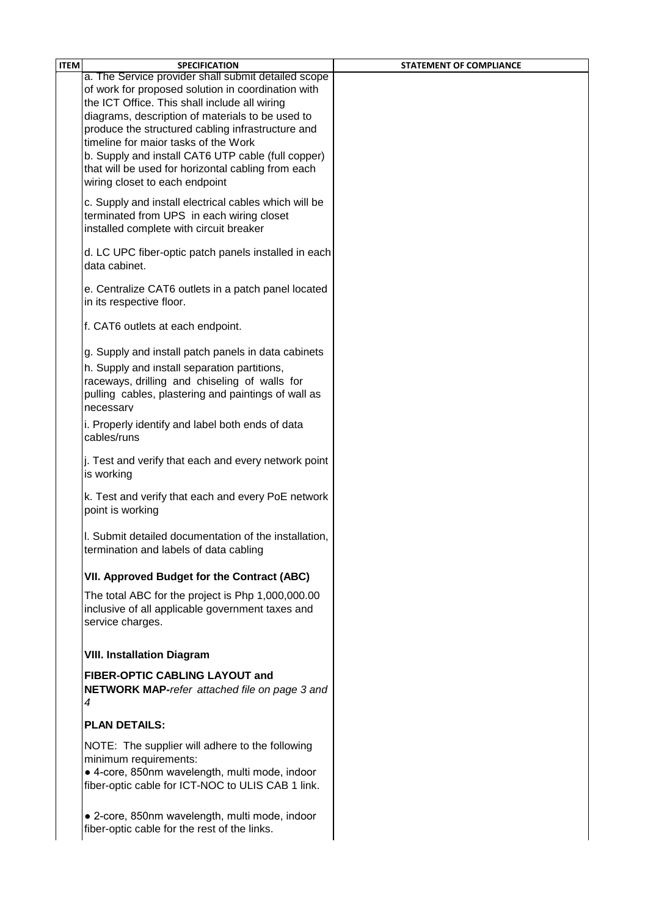| <b>ITEM</b> | <b>SPECIFICATION</b>                                                                           | <b>STATEMENT OF COMPLIANCE</b> |
|-------------|------------------------------------------------------------------------------------------------|--------------------------------|
|             | a. The Service provider shall submit detailed scope                                            |                                |
|             | of work for proposed solution in coordination with                                             |                                |
|             | the ICT Office. This shall include all wiring                                                  |                                |
|             | diagrams, description of materials to be used to                                               |                                |
|             | produce the structured cabling infrastructure and<br>timeline for maior tasks of the Work      |                                |
|             | b. Supply and install CAT6 UTP cable (full copper)                                             |                                |
|             | that will be used for horizontal cabling from each                                             |                                |
|             | wiring closet to each endpoint                                                                 |                                |
|             |                                                                                                |                                |
|             | c. Supply and install electrical cables which will be                                          |                                |
|             | terminated from UPS in each wiring closet<br>installed complete with circuit breaker           |                                |
|             |                                                                                                |                                |
|             | d. LC UPC fiber-optic patch panels installed in each                                           |                                |
|             | data cabinet.                                                                                  |                                |
|             |                                                                                                |                                |
|             | e. Centralize CAT6 outlets in a patch panel located                                            |                                |
|             | in its respective floor.                                                                       |                                |
|             | f. CAT6 outlets at each endpoint.                                                              |                                |
|             |                                                                                                |                                |
|             | g. Supply and install patch panels in data cabinets                                            |                                |
|             | h. Supply and install separation partitions,                                                   |                                |
|             | raceways, drilling and chiseling of walls for                                                  |                                |
|             | pulling cables, plastering and paintings of wall as                                            |                                |
|             | necessarv                                                                                      |                                |
|             | i. Properly identify and label both ends of data                                               |                                |
|             | cables/runs                                                                                    |                                |
|             | j. Test and verify that each and every network point                                           |                                |
|             | is working                                                                                     |                                |
|             |                                                                                                |                                |
|             | k. Test and verify that each and every PoE network                                             |                                |
|             | point is working                                                                               |                                |
|             | I. Submit detailed documentation of the installation,                                          |                                |
|             | termination and labels of data cabling                                                         |                                |
|             |                                                                                                |                                |
|             | VII. Approved Budget for the Contract (ABC)                                                    |                                |
|             | The total ABC for the project is Php 1,000,000.00                                              |                                |
|             | inclusive of all applicable government taxes and                                               |                                |
|             | service charges.                                                                               |                                |
|             |                                                                                                |                                |
|             | <b>VIII. Installation Diagram</b>                                                              |                                |
|             |                                                                                                |                                |
|             | <b>FIBER-OPTIC CABLING LAYOUT and</b>                                                          |                                |
|             | <b>NETWORK MAP-refer attached file on page 3 and</b><br>4                                      |                                |
|             |                                                                                                |                                |
|             | <b>PLAN DETAILS:</b>                                                                           |                                |
|             | NOTE: The supplier will adhere to the following                                                |                                |
|             | minimum requirements:                                                                          |                                |
|             | • 4-core, 850nm wavelength, multi mode, indoor                                                 |                                |
|             | fiber-optic cable for ICT-NOC to ULIS CAB 1 link.                                              |                                |
|             |                                                                                                |                                |
|             |                                                                                                |                                |
|             | • 2-core, 850nm wavelength, multi mode, indoor<br>fiber-optic cable for the rest of the links. |                                |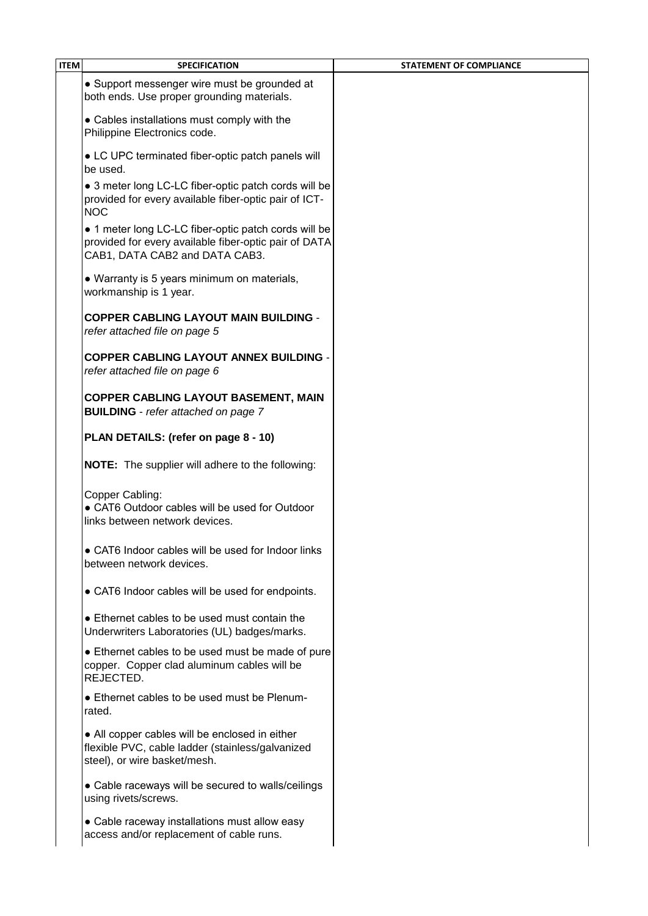| <b>ITEM</b> | <b>SPECIFICATION</b>                                                                                                                            | <b>STATEMENT OF COMPLIANCE</b> |
|-------------|-------------------------------------------------------------------------------------------------------------------------------------------------|--------------------------------|
|             | • Support messenger wire must be grounded at<br>both ends. Use proper grounding materials.                                                      |                                |
|             | • Cables installations must comply with the<br>Philippine Electronics code.                                                                     |                                |
|             | • LC UPC terminated fiber-optic patch panels will<br>be used.                                                                                   |                                |
|             | • 3 meter long LC-LC fiber-optic patch cords will be<br>provided for every available fiber-optic pair of ICT-<br><b>NOC</b>                     |                                |
|             | • 1 meter long LC-LC fiber-optic patch cords will be<br>provided for every available fiber-optic pair of DATA<br>CAB1, DATA CAB2 and DATA CAB3. |                                |
|             | • Warranty is 5 years minimum on materials,<br>workmanship is 1 year.                                                                           |                                |
|             | <b>COPPER CABLING LAYOUT MAIN BUILDING -</b><br>refer attached file on page 5                                                                   |                                |
|             | <b>COPPER CABLING LAYOUT ANNEX BUILDING .</b><br>refer attached file on page 6                                                                  |                                |
|             | <b>COPPER CABLING LAYOUT BASEMENT, MAIN</b><br><b>BUILDING</b> - refer attached on page 7                                                       |                                |
|             | PLAN DETAILS: (refer on page 8 - 10)                                                                                                            |                                |
|             | <b>NOTE:</b> The supplier will adhere to the following:                                                                                         |                                |
|             | Copper Cabling:<br>• CAT6 Outdoor cables will be used for Outdoor<br>links between network devices.                                             |                                |
|             | • CAT6 Indoor cables will be used for Indoor links<br>between network devices.                                                                  |                                |
|             | • CAT6 Indoor cables will be used for endpoints.                                                                                                |                                |
|             | • Ethernet cables to be used must contain the<br>Underwriters Laboratories (UL) badges/marks.                                                   |                                |
|             | • Ethernet cables to be used must be made of pure<br>copper. Copper clad aluminum cables will be<br>REJECTED.                                   |                                |
|             | • Ethernet cables to be used must be Plenum-<br>rated.                                                                                          |                                |
|             | • All copper cables will be enclosed in either<br>flexible PVC, cable ladder (stainless/galvanized<br>steel), or wire basket/mesh.              |                                |
|             | • Cable raceways will be secured to walls/ceilings<br>using rivets/screws.                                                                      |                                |
|             | • Cable raceway installations must allow easy<br>access and/or replacement of cable runs.                                                       |                                |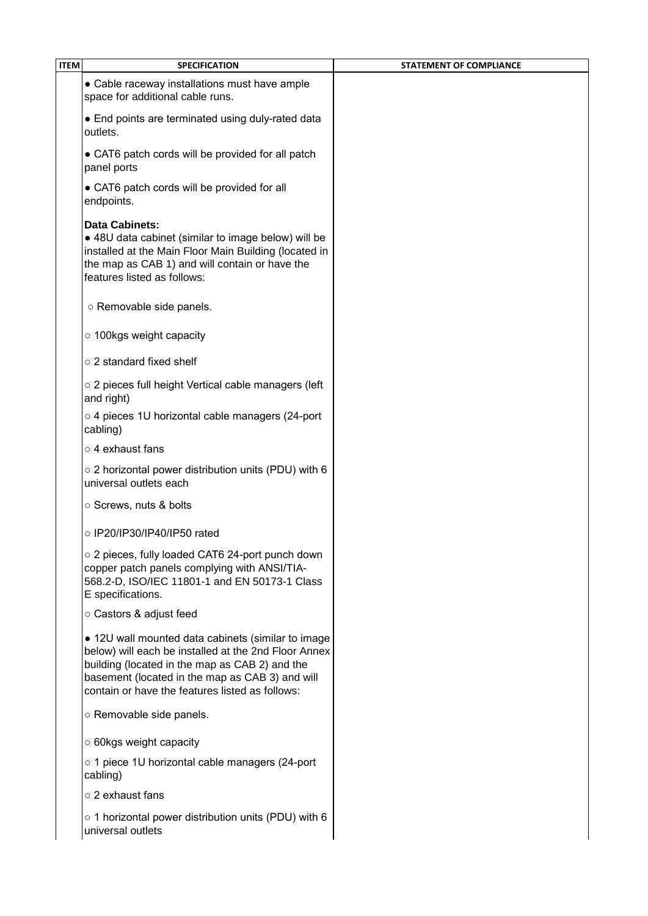| • Cable raceway installations must have ample<br>space for additional cable runs.                                                                                                                                                                                  |  |
|--------------------------------------------------------------------------------------------------------------------------------------------------------------------------------------------------------------------------------------------------------------------|--|
|                                                                                                                                                                                                                                                                    |  |
| • End points are terminated using duly-rated data<br>outlets.                                                                                                                                                                                                      |  |
| • CAT6 patch cords will be provided for all patch<br>panel ports                                                                                                                                                                                                   |  |
| • CAT6 patch cords will be provided for all<br>endpoints.                                                                                                                                                                                                          |  |
| Data Cabinets:<br>• 48U data cabinet (similar to image below) will be<br>installed at the Main Floor Main Building (located in<br>the map as CAB 1) and will contain or have the<br>features listed as follows:                                                    |  |
| o Removable side panels.                                                                                                                                                                                                                                           |  |
| o 100kgs weight capacity                                                                                                                                                                                                                                           |  |
| o 2 standard fixed shelf                                                                                                                                                                                                                                           |  |
| o 2 pieces full height Vertical cable managers (left<br>and right)                                                                                                                                                                                                 |  |
| o 4 pieces 1U horizontal cable managers (24-port<br>cabling)                                                                                                                                                                                                       |  |
| o 4 exhaust fans                                                                                                                                                                                                                                                   |  |
| ○ 2 horizontal power distribution units (PDU) with 6<br>universal outlets each                                                                                                                                                                                     |  |
| ○ Screws, nuts & bolts                                                                                                                                                                                                                                             |  |
| ○ IP20/IP30/IP40/IP50 rated                                                                                                                                                                                                                                        |  |
| o 2 pieces, fully loaded CAT6 24-port punch down<br>copper patch panels complying with ANSI/TIA-<br>568.2-D, ISO/IEC 11801-1 and EN 50173-1 Class<br>E specifications.                                                                                             |  |
| ○ Castors & adjust feed                                                                                                                                                                                                                                            |  |
| • 12U wall mounted data cabinets (similar to image<br>below) will each be installed at the 2nd Floor Annex<br>building (located in the map as CAB 2) and the<br>basement (located in the map as CAB 3) and will<br>contain or have the features listed as follows: |  |
| o Removable side panels.                                                                                                                                                                                                                                           |  |
| ○ 60kgs weight capacity                                                                                                                                                                                                                                            |  |
| o 1 piece 1U horizontal cable managers (24-port<br>cabling)                                                                                                                                                                                                        |  |
| o 2 exhaust fans                                                                                                                                                                                                                                                   |  |
| ○ 1 horizontal power distribution units (PDU) with 6<br>universal outlets                                                                                                                                                                                          |  |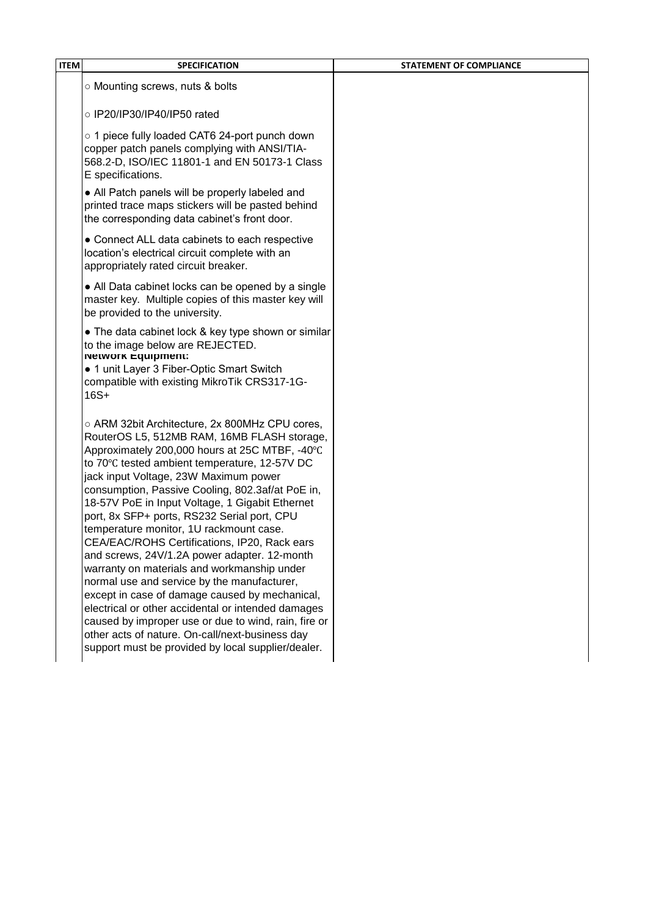| <b>ITEM</b><br><b>SPECIFICATION</b>                                                                                                                                                                                                                                                                                                                                                                                                                                                                                                                                                                                                                                                                                                                                                                                                                                                                               | <b>STATEMENT OF COMPLIANCE</b> |
|-------------------------------------------------------------------------------------------------------------------------------------------------------------------------------------------------------------------------------------------------------------------------------------------------------------------------------------------------------------------------------------------------------------------------------------------------------------------------------------------------------------------------------------------------------------------------------------------------------------------------------------------------------------------------------------------------------------------------------------------------------------------------------------------------------------------------------------------------------------------------------------------------------------------|--------------------------------|
| ○ Mounting screws, nuts & bolts                                                                                                                                                                                                                                                                                                                                                                                                                                                                                                                                                                                                                                                                                                                                                                                                                                                                                   |                                |
| ○ IP20/IP30/IP40/IP50 rated                                                                                                                                                                                                                                                                                                                                                                                                                                                                                                                                                                                                                                                                                                                                                                                                                                                                                       |                                |
| o 1 piece fully loaded CAT6 24-port punch down<br>copper patch panels complying with ANSI/TIA-<br>568.2-D, ISO/IEC 11801-1 and EN 50173-1 Class<br>E specifications.                                                                                                                                                                                                                                                                                                                                                                                                                                                                                                                                                                                                                                                                                                                                              |                                |
| • All Patch panels will be properly labeled and<br>printed trace maps stickers will be pasted behind<br>the corresponding data cabinet's front door.                                                                                                                                                                                                                                                                                                                                                                                                                                                                                                                                                                                                                                                                                                                                                              |                                |
| • Connect ALL data cabinets to each respective<br>location's electrical circuit complete with an<br>appropriately rated circuit breaker.                                                                                                                                                                                                                                                                                                                                                                                                                                                                                                                                                                                                                                                                                                                                                                          |                                |
| • All Data cabinet locks can be opened by a single<br>master key. Multiple copies of this master key will<br>be provided to the university.                                                                                                                                                                                                                                                                                                                                                                                                                                                                                                                                                                                                                                                                                                                                                                       |                                |
| • The data cabinet lock & key type shown or similar<br>to the image below are REJECTED.<br><b>Network Equipment:</b><br>• 1 unit Layer 3 Fiber-Optic Smart Switch<br>compatible with existing MikroTik CRS317-1G-<br>$16S+$                                                                                                                                                                                                                                                                                                                                                                                                                                                                                                                                                                                                                                                                                       |                                |
| ○ ARM 32bit Architecture, 2x 800MHz CPU cores,<br>RouterOS L5, 512MB RAM, 16MB FLASH storage,<br>Approximately 200,000 hours at 25C MTBF, -40°C<br>to 70°C tested ambient temperature, 12-57V DC<br>jack input Voltage, 23W Maximum power<br>consumption, Passive Cooling, 802.3af/at PoE in,<br>18-57V PoE in Input Voltage, 1 Gigabit Ethernet<br>port, 8x SFP+ ports, RS232 Serial port, CPU<br>temperature monitor, 1U rackmount case.<br>CEA/EAC/ROHS Certifications, IP20, Rack ears<br>and screws, 24V/1.2A power adapter. 12-month<br>warranty on materials and workmanship under<br>normal use and service by the manufacturer,<br>except in case of damage caused by mechanical,<br>electrical or other accidental or intended damages<br>caused by improper use or due to wind, rain, fire or<br>other acts of nature. On-call/next-business day<br>support must be provided by local supplier/dealer. |                                |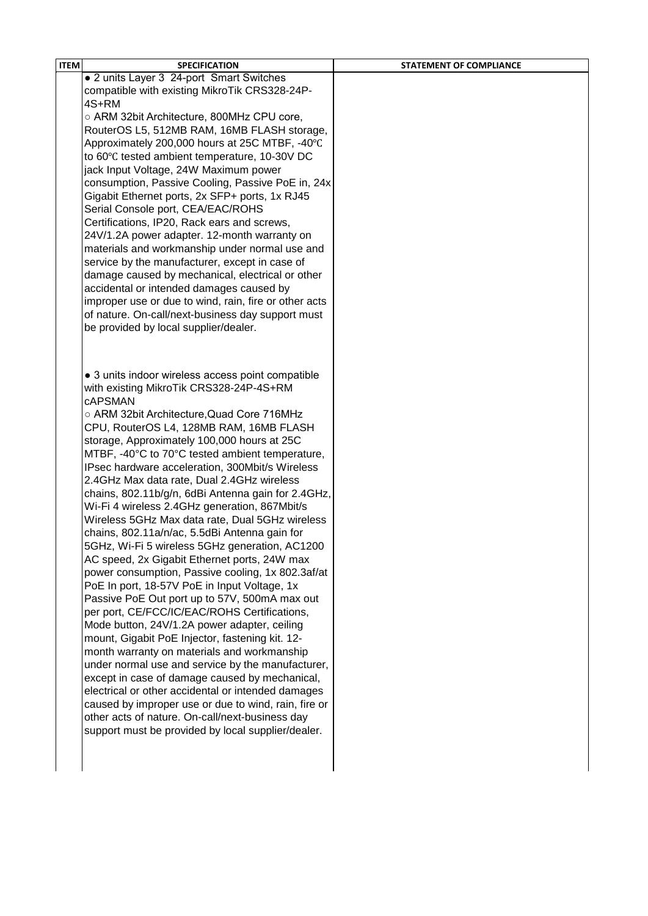| <b>ITEM</b> | <b>SPECIFICATION</b>                                  | <b>STATEMENT OF COMPLIANCE</b> |
|-------------|-------------------------------------------------------|--------------------------------|
|             | • 2 units Layer 3 24-port Smart Switches              |                                |
|             | compatible with existing MikroTik CRS328-24P-         |                                |
|             | 4S+RM                                                 |                                |
|             | ○ ARM 32bit Architecture, 800MHz CPU core,            |                                |
|             | RouterOS L5, 512MB RAM, 16MB FLASH storage,           |                                |
|             | Approximately 200,000 hours at 25C MTBF, -40°C        |                                |
|             | to 60°C tested ambient temperature, 10-30V DC         |                                |
|             | jack Input Voltage, 24W Maximum power                 |                                |
|             | consumption, Passive Cooling, Passive PoE in, 24x     |                                |
|             | Gigabit Ethernet ports, 2x SFP+ ports, 1x RJ45        |                                |
|             | Serial Console port, CEA/EAC/ROHS                     |                                |
|             | Certifications, IP20, Rack ears and screws,           |                                |
|             | 24V/1.2A power adapter. 12-month warranty on          |                                |
|             | materials and workmanship under normal use and        |                                |
|             | service by the manufacturer, except in case of        |                                |
|             | damage caused by mechanical, electrical or other      |                                |
|             | accidental or intended damages caused by              |                                |
|             | improper use or due to wind, rain, fire or other acts |                                |
|             | of nature. On-call/next-business day support must     |                                |
|             | be provided by local supplier/dealer.                 |                                |
|             |                                                       |                                |
|             |                                                       |                                |
|             | • 3 units indoor wireless access point compatible     |                                |
|             | with existing MikroTik CRS328-24P-4S+RM               |                                |
|             | <b>CAPSMAN</b>                                        |                                |
|             | ○ ARM 32bit Architecture, Quad Core 716MHz            |                                |
|             | CPU, RouterOS L4, 128MB RAM, 16MB FLASH               |                                |
|             | storage, Approximately 100,000 hours at 25C           |                                |
|             | MTBF, -40°C to 70°C tested ambient temperature,       |                                |
|             | IPsec hardware acceleration, 300Mbit/s Wireless       |                                |
|             | 2.4GHz Max data rate, Dual 2.4GHz wireless            |                                |
|             | chains, 802.11b/g/n, 6dBi Antenna gain for 2.4GHz,    |                                |
|             | Wi-Fi 4 wireless 2.4GHz generation, 867Mbit/s         |                                |
|             | Wireless 5GHz Max data rate, Dual 5GHz wireless       |                                |
|             | chains, 802.11a/n/ac, 5.5dBi Antenna gain for         |                                |
|             | 5GHz, Wi-Fi 5 wireless 5GHz generation, AC1200        |                                |
|             | AC speed, 2x Gigabit Ethernet ports, 24W max          |                                |
|             | power consumption, Passive cooling, 1x 802.3af/at     |                                |
|             | PoE In port, 18-57V PoE in Input Voltage, 1x          |                                |
|             | Passive PoE Out port up to 57V, 500mA max out         |                                |
|             | per port, CE/FCC/IC/EAC/ROHS Certifications,          |                                |
|             | Mode button, 24V/1.2A power adapter, ceiling          |                                |
|             | mount, Gigabit PoE Injector, fastening kit. 12-       |                                |
|             | month warranty on materials and workmanship           |                                |
|             | under normal use and service by the manufacturer,     |                                |
|             | except in case of damage caused by mechanical,        |                                |
|             | electrical or other accidental or intended damages    |                                |
|             | caused by improper use or due to wind, rain, fire or  |                                |
|             | other acts of nature. On-call/next-business day       |                                |
|             | support must be provided by local supplier/dealer.    |                                |
|             |                                                       |                                |
|             |                                                       |                                |